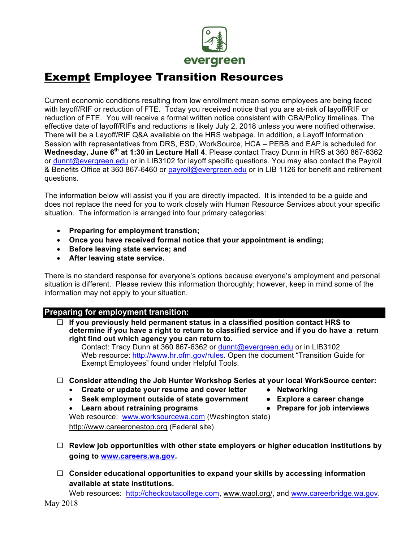

# Exempt Employee Transition Resources

Current economic conditions resulting from low enrollment mean some employees are being faced with layoff/RIF or reduction of FTE. Today you received notice that you are at-risk of layoff/RIF or reduction of FTE. You will receive a formal written notice consistent with CBA/Policy timelines. The effective date of layoff/RIFs and reductions is likely July 2, 2018 unless you were notified otherwise. There will be a Layoff/RIF Q&A available on the HRS webpage. In addition, a Layoff Information Session with representatives from DRS, ESD, WorkSource, HCA – PEBB and EAP is scheduled for **Wednesday, June 6th at 1:30 in Lecture Hall 4**. Please contact Tracy Dunn in HRS at 360 867-6362 or dunnt@evergreen.edu or in LIB3102 for layoff specific questions. You may also contact the Payroll & Benefits Office at 360 867-6460 or payroll@evergreen.edu or in LIB 1126 for benefit and retirement questions.

The information below will assist you if you are directly impacted. It is intended to be a guide and does not replace the need for you to work closely with Human Resource Services about your specific situation. The information is arranged into four primary categories:

- **Preparing for employment transtion;**
- **Once you have received formal notice that your appointment is ending;**
- **Before leaving state service; and**
- **After leaving state service.**

There is no standard response for everyone's options because everyone's employment and personal situation is different. Please review this information thoroughly; however, keep in mind some of the information may not apply to your situation.

#### **Preparing for employment transition:**

¨ **If you previously held permanent status in a classified position contact HRS to determine if you have a right to return to classified service and if you do have a return right find out which agency you can return to.**

Contact: Tracy Dunn at 360 867-6362 or dunnt@evergreen.edu or in LIB3102 Web resource: http://www.hr.ofm.gov/rules. Open the document "Transition Guide for Exempt Employees" found under Helpful Tools.

- ¨ **Consider attending the Job Hunter Workshop Series at your local WorkSource center:**
	- Create or update your resume and cover letter Networking
	- **Seek employment outside of state government Explore a career change**
- -
	- **Learn about retraining programs Prepare for job interviews**

Web resource: www.worksourcewa.com (Washington state) http://www.careeronestop.org (Federal site)

- $\Box$  Review job opportunities with other state employers or higher education institutions by **going to www.careers.wa.gov.**
- ¨ **Consider educational opportunities to expand your skills by accessing information available at state institutions.**

Web resources: http://checkoutacollege.com, www.waol.org/, and www.careerbridge.wa.gov.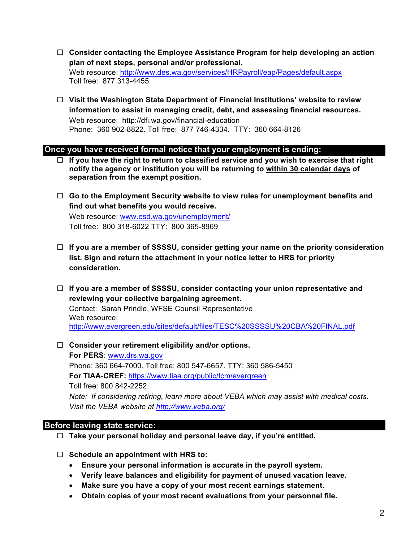- ¨ **Consider contacting the Employee Assistance Program for help developing an action plan of next steps, personal and/or professional.** Web resource: http://www.des.wa.gov/services/HRPayroll/eap/Pages/default.aspx Toll free: 877 313-4455
- ¨ **Visit the Washington State Department of Financial Institutions' website to review information to assist in managing credit, debt, and assessing financial resources.** Web resource: http://dfi.wa.gov/financial-education Phone: 360 902-8822. Toll free: 877 746-4334. TTY: 360 664-8126

#### **Once you have received formal notice that your employment is ending:**

- $\Box$  If you have the right to return to classified service and you wish to exercise that right **notify the agency or institution you will be returning to within 30 calendar days of separation from the exempt position.**
- □ Go to the Employment Security website to view rules for unemployment benefits and **find out what benefits you would receive.**

Web resource: www.esd.wa.gov/unemployment/ Toll free: 800 318-6022 TTY: 800 365-8969

- ¨ **If you are a member of SSSSU, consider getting your name on the priority consideration list. Sign and return the attachment in your notice letter to HRS for priority consideration.**
- ¨ **If you are a member of SSSSU, consider contacting your union representative and reviewing your collective bargaining agreement.**  Contact: Sarah Prindle, WFSE Counsil Representative Web resource: http://www.evergreen.edu/sites/default/files/TESC%20SSSSU%20CBA%20FINAL.pdf
- □ Consider your retirement eligibility and/or options. **For PERS**: www.drs.wa.gov Phone: 360 664-7000. Toll free: 800 547-6657. TTY: 360 586-5450 **For TIAA-CREF:** https://www.tiaa.org/public/tcm/evergreen Toll free: 800 842-2252. *Note: If considering retiring, learn more about VEBA which may assist with medical costs. Visit the VEBA website at http://www.veba.org/*

### **Before leaving state service:**

- ¨ **Take your personal holiday and personal leave day, if you're entitled.**
- ¨ **Schedule an appointment with HRS to:**
	- **Ensure your personal information is accurate in the payroll system.**
	- **Verify leave balances and eligibility for payment of unused vacation leave.**
	- **Make sure you have a copy of your most recent earnings statement.**
	- **Obtain copies of your most recent evaluations from your personnel file.**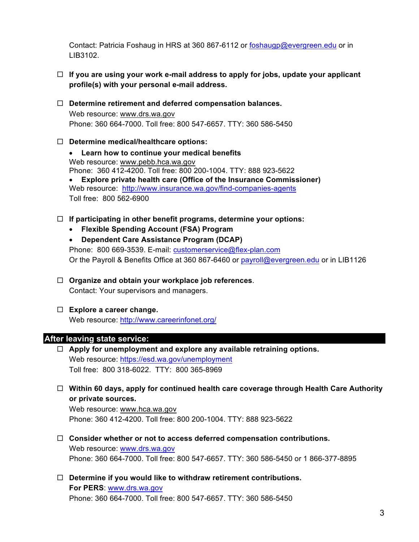Contact: Patricia Foshaug in HRS at 360 867-6112 or foshaugp@evergreen.edu or in LIB3102.

- $\Box$  If you are using your work e-mail address to apply for jobs, update your applicant **profile(s) with your personal e-mail address.**
- ¨ **Determine retirement and deferred compensation balances.** Web resource: www.drs.wa.gov Phone: 360 664-7000. Toll free: 800 547-6657. TTY: 360 586-5450
- ¨ **Determine medical/healthcare options:**
	- **Learn how to continue your medical benefits** Web resource: www.pebb.hca.wa.gov Phone: 360 412-4200. Toll free: 800 200-1004. TTY: 888 923-5622 • **Explore private health care (Office of the Insurance Commissioner)** Web resource: http://www.insurance.wa.gov/find-companies-agents Toll free: 800 562-6900
- ¨ **If participating in other benefit programs, determine your options:**
	- **Flexible Spending Account (FSA) Program**
	- **Dependent Care Assistance Program (DCAP)** Phone: 800 669-3539. E-mail: customerservice@flex-plan.com Or the Payroll & Benefits Office at 360 867-6460 or payroll@evergreen.edu or in LIB1126
- □ Organize and obtain your workplace job references. Contact: Your supervisors and managers.
- ¨ **Explore a career change.** Web resource: http://www.careerinfonet.org/

#### **After leaving state service:**

- ¨ **Apply for unemployment and explore any available retraining options.**  Web resource: https://esd.wa.gov/unemployment Toll free: 800 318-6022. TTY: 800 365-8969
- ¨ **Within 60 days, apply for continued health care coverage through Health Care Authority or private sources.**

Web resource: www.hca.wa.gov Phone: 360 412-4200. Toll free: 800 200-1004. TTY: 888 923-5622

- ¨ **Consider whether or not to access deferred compensation contributions.** Web resource: www.drs.wa.gov Phone: 360 664-7000. Toll free: 800 547-6657. TTY: 360 586-5450 or 1 866-377-8895
- □ Determine if you would like to withdraw retirement contributions. **For PERS**: www.drs.wa.gov Phone: 360 664-7000. Toll free: 800 547-6657. TTY: 360 586-5450